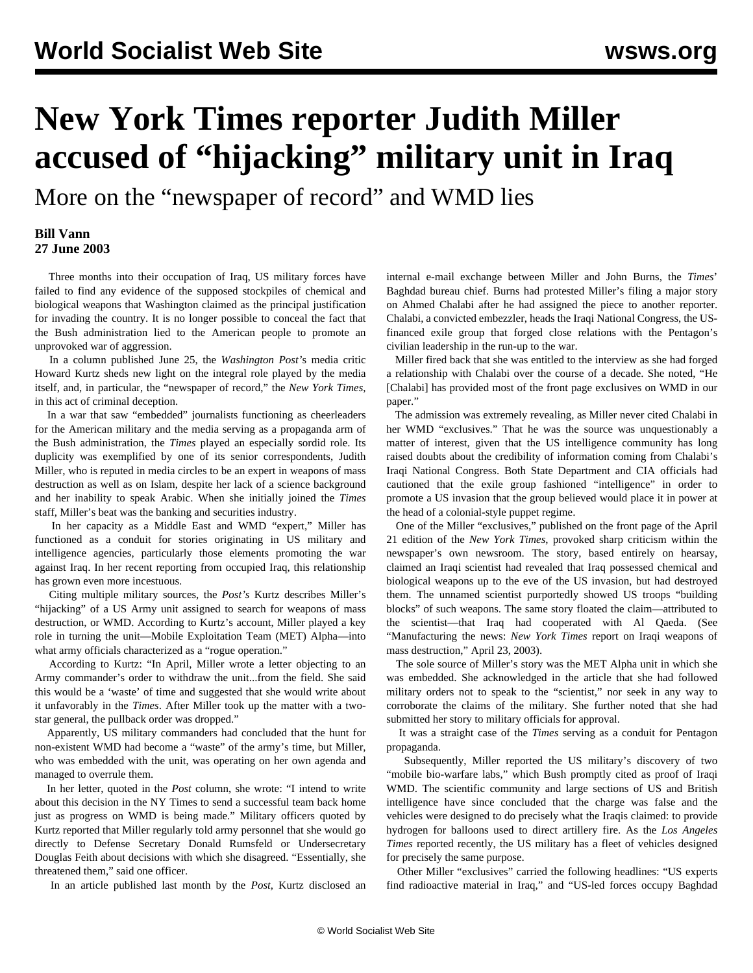## **New York Times reporter Judith Miller accused of "hijacking" military unit in Iraq**

More on the "newspaper of record" and WMD lies

## **Bill Vann 27 June 2003**

 Three months into their occupation of Iraq, US military forces have failed to find any evidence of the supposed stockpiles of chemical and biological weapons that Washington claimed as the principal justification for invading the country. It is no longer possible to conceal the fact that the Bush administration lied to the American people to promote an unprovoked war of aggression.

 In a column published June 25, the *Washington Post'*s media critic Howard Kurtz sheds new light on the integral role played by the media itself, and, in particular, the "newspaper of record," the *New York Times*, in this act of criminal deception.

 In a war that saw "embedded" journalists functioning as cheerleaders for the American military and the media serving as a propaganda arm of the Bush administration, the *Times* played an especially sordid role. Its duplicity was exemplified by one of its senior correspondents, Judith Miller, who is reputed in media circles to be an expert in weapons of mass destruction as well as on Islam, despite her lack of a science background and her inability to speak Arabic. When she initially joined the *Times* staff, Miller's beat was the banking and securities industry.

 In her capacity as a Middle East and WMD "expert," Miller has functioned as a conduit for stories originating in US military and intelligence agencies, particularly those elements promoting the war against Iraq. In her recent reporting from occupied Iraq, this relationship has grown even more incestuous.

 Citing multiple military sources, the *Post's* Kurtz describes Miller's "hijacking" of a US Army unit assigned to search for weapons of mass destruction, or WMD. According to Kurtz's account, Miller played a key role in turning the unit—Mobile Exploitation Team (MET) Alpha—into what army officials characterized as a "rogue operation."

 According to Kurtz: "In April, Miller wrote a letter objecting to an Army commander's order to withdraw the unit...from the field. She said this would be a 'waste' of time and suggested that she would write about it unfavorably in the *Times*. After Miller took up the matter with a twostar general, the pullback order was dropped."

 Apparently, US military commanders had concluded that the hunt for non-existent WMD had become a "waste" of the army's time, but Miller, who was embedded with the unit, was operating on her own agenda and managed to overrule them.

 In her letter, quoted in the *Post* column, she wrote: "I intend to write about this decision in the NY Times to send a successful team back home just as progress on WMD is being made." Military officers quoted by Kurtz reported that Miller regularly told army personnel that she would go directly to Defense Secretary Donald Rumsfeld or Undersecretary Douglas Feith about decisions with which she disagreed. "Essentially, she threatened them," said one officer.

In an article published last month by the *Post*, Kurtz disclosed an

internal e-mail exchange between Miller and John Burns, the *Times*' Baghdad bureau chief. Burns had protested Miller's filing a major story on Ahmed Chalabi after he had assigned the piece to another reporter. Chalabi, a convicted embezzler, heads the Iraqi National Congress, the USfinanced exile group that forged close relations with the Pentagon's civilian leadership in the run-up to the war.

 Miller fired back that she was entitled to the interview as she had forged a relationship with Chalabi over the course of a decade. She noted, "He [Chalabi] has provided most of the front page exclusives on WMD in our paper."

 The admission was extremely revealing, as Miller never cited Chalabi in her WMD "exclusives." That he was the source was unquestionably a matter of interest, given that the US intelligence community has long raised doubts about the credibility of information coming from Chalabi's Iraqi National Congress. Both State Department and CIA officials had cautioned that the exile group fashioned "intelligence" in order to promote a US invasion that the group believed would place it in power at the head of a colonial-style puppet regime.

 One of the Miller "exclusives," published on the front page of the April 21 edition of the *New York Times*, provoked sharp criticism within the newspaper's own newsroom. The story, based entirely on hearsay, claimed an Iraqi scientist had revealed that Iraq possessed chemical and biological weapons up to the eve of the US invasion, but had destroyed them. The unnamed scientist purportedly showed US troops "building blocks" of such weapons. The same story floated the claim—attributed to the scientist—that Iraq had cooperated with Al Qaeda. (See "Manufacturing the news: *New York Times* report on Iraqi weapons of mass destruction," April 23, 2003).

 The sole source of Miller's story was the MET Alpha unit in which she was embedded. She acknowledged in the article that she had followed military orders not to speak to the "scientist," nor seek in any way to corroborate the claims of the military. She further noted that she had submitted her story to military officials for approval.

 It was a straight case of the *Times* serving as a conduit for Pentagon propaganda.

 Subsequently, Miller reported the US military's discovery of two "mobile bio-warfare labs," which Bush promptly cited as proof of Iraqi WMD. The scientific community and large sections of US and British intelligence have since concluded that the charge was false and the vehicles were designed to do precisely what the Iraqis claimed: to provide hydrogen for balloons used to direct artillery fire. As the *Los Angeles Times* reported recently, the US military has a fleet of vehicles designed for precisely the same purpose.

 Other Miller "exclusives" carried the following headlines: "US experts find radioactive material in Iraq," and "US-led forces occupy Baghdad